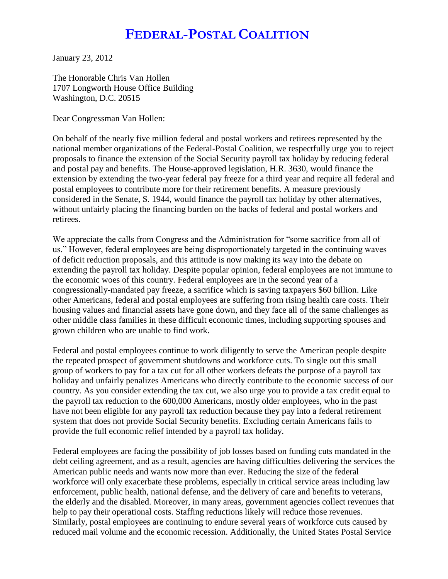## **FEDERAL-POSTAL COALITION**

January 23, 2012

The Honorable Chris Van Hollen 1707 Longworth House Office Building Washington, D.C. 20515

Dear Congressman Van Hollen:

On behalf of the nearly five million federal and postal workers and retirees represented by the national member organizations of the Federal-Postal Coalition, we respectfully urge you to reject proposals to finance the extension of the Social Security payroll tax holiday by reducing federal and postal pay and benefits. The House-approved legislation, H.R. 3630, would finance the extension by extending the two-year federal pay freeze for a third year and require all federal and postal employees to contribute more for their retirement benefits. A measure previously considered in the Senate, S. 1944, would finance the payroll tax holiday by other alternatives, without unfairly placing the financing burden on the backs of federal and postal workers and retirees.

We appreciate the calls from Congress and the Administration for "some sacrifice from all of us." However, federal employees are being disproportionately targeted in the continuing waves of deficit reduction proposals, and this attitude is now making its way into the debate on extending the payroll tax holiday. Despite popular opinion, federal employees are not immune to the economic woes of this country. Federal employees are in the second year of a congressionally-mandated pay freeze, a sacrifice which is saving taxpayers \$60 billion. Like other Americans, federal and postal employees are suffering from rising health care costs. Their housing values and financial assets have gone down, and they face all of the same challenges as other middle class families in these difficult economic times, including supporting spouses and grown children who are unable to find work.

Federal and postal employees continue to work diligently to serve the American people despite the repeated prospect of government shutdowns and workforce cuts. To single out this small group of workers to pay for a tax cut for all other workers defeats the purpose of a payroll tax holiday and unfairly penalizes Americans who directly contribute to the economic success of our country. As you consider extending the tax cut, we also urge you to provide a tax credit equal to the payroll tax reduction to the 600,000 Americans, mostly older employees, who in the past have not been eligible for any payroll tax reduction because they pay into a federal retirement system that does not provide Social Security benefits. Excluding certain Americans fails to provide the full economic relief intended by a payroll tax holiday.

Federal employees are facing the possibility of job losses based on funding cuts mandated in the debt ceiling agreement, and as a result, agencies are having difficulties delivering the services the American public needs and wants now more than ever. Reducing the size of the federal workforce will only exacerbate these problems, especially in critical service areas including law enforcement, public health, national defense, and the delivery of care and benefits to veterans, the elderly and the disabled. Moreover, in many areas, government agencies collect revenues that help to pay their operational costs. Staffing reductions likely will reduce those revenues. Similarly, postal employees are continuing to endure several years of workforce cuts caused by reduced mail volume and the economic recession. Additionally, the United States Postal Service